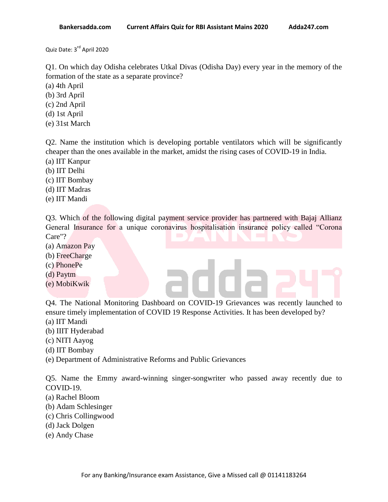Quiz Date: 3<sup>rd</sup> April 2020

Q1. On which day Odisha celebrates Utkal Divas (Odisha Day) every year in the memory of the formation of the state as a separate province?

- (a) 4th April
- (b) 3rd April
- (c) 2nd April
- (d) 1st April
- (e) 31st March

Q2. Name the institution which is developing portable ventilators which will be significantly cheaper than the ones available in the market, amidst the rising cases of COVID-19 in India.

- (a) IIT Kanpur
- (b) IIT Delhi
- (c) IIT Bombay
- (d) IIT Madras
- (e) IIT Mandi

Q3. Which of the following digital payment service provider has partnered with Bajaj Allianz General Insurance for a unique coronavirus hospitalisation insurance policy called "Corona Care"?

- (a) Amazon Pay
- (b) FreeCharge
- (c) PhonePe
- (d) Paytm
- (e) MobiKwik

Q4. The National Monitoring Dashboard on COVID-19 Grievances was recently launched to ensure timely implementation of COVID 19 Response Activities. It has been developed by?

- (a) IIT Mandi
- (b) IIIT Hyderabad
- (c) NITI Aayog
- (d) IIT Bombay
- (e) Department of Administrative Reforms and Public Grievances

Q5. Name the Emmy award-winning singer-songwriter who passed away recently due to COVID-19.

- (a) Rachel Bloom
- (b) Adam Schlesinger
- (c) Chris Collingwood
- (d) Jack Dolgen
- (e) Andy Chase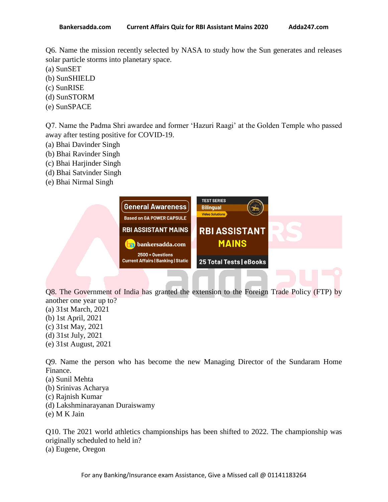Q6. Name the mission recently selected by NASA to study how the Sun generates and releases solar particle storms into planetary space.

- (a) SunSET
- (b) SunSHIELD
- (c) SunRISE
- (d) SunSTORM
- (e) SunSPACE

Q7. Name the Padma Shri awardee and former "Hazuri Raagi" at the Golden Temple who passed away after testing positive for COVID-19.

- (a) Bhai Davinder Singh
- (b) Bhai Ravinder Singh
- (c) Bhai Harjinder Singh
- (d) Bhai Satvinder Singh
- (e) Bhai Nirmal Singh



Q8. The Government of India has granted the extension to the Foreign Trade Policy (FTP) by another one year up to?

- (a) 31st March, 2021
- (b) 1st April, 2021
- (c) 31st May, 2021
- (d) 31st July, 2021
- (e) 31st August, 2021

Q9. Name the person who has become the new Managing Director of the Sundaram Home Finance.

- (a) Sunil Mehta
- (b) Srinivas Acharya
- (c) Rajnish Kumar
- (d) Lakshminarayanan Duraiswamy
- (e) M K Jain

Q10. The 2021 world athletics championships has been shifted to 2022. The championship was originally scheduled to held in? (a) Eugene, Oregon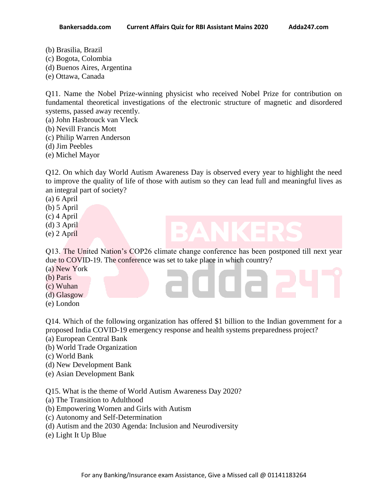- 
- (b) Brasilia, Brazil (c) Bogota, Colombia
- (d) Buenos Aires, Argentina
- (e) Ottawa, Canada

Q11. Name the Nobel Prize-winning physicist who received Nobel Prize for contribution on fundamental theoretical investigations of the electronic structure of magnetic and disordered systems, passed away recently.

- (a) John Hasbrouck van Vleck
- (b) Nevill Francis Mott
- (c) Philip Warren Anderson
- (d) Jim Peebles
- (e) Michel Mayor

Q12. On which day World Autism Awareness Day is observed every year to highlight the need to improve the quality of life of those with autism so they can lead full and meaningful lives as an integral part of society?

(a) 6 April

- (b) 5 April
- (c) 4 April
- (d) 3 April
- (e) 2 April

Q13. The United Nation"s COP26 climate change conference has been postponed till next year due to COVID-19. The conference was set to take place in which country? (a) New York

- 
- (b) Paris
- (c) Wuhan
- (d) Glasgow
- (e) London

Q14. Which of the following organization has offered \$1 billion to the Indian government for a proposed India COVID-19 emergency response and health systems preparedness project?

- (a) European Central Bank
- (b) World Trade Organization
- (c) World Bank
- (d) New Development Bank
- (e) Asian Development Bank

Q15. What is the theme of World Autism Awareness Day 2020?

- (a) The Transition to Adulthood
- (b) Empowering Women and Girls with Autism
- (c) Autonomy and Self-Determination
- (d) Autism and the 2030 Agenda: Inclusion and Neurodiversity
- (e) Light It Up Blue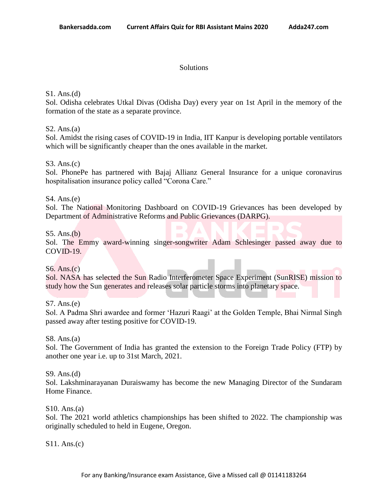### Solutions

# S1. Ans.(d)

Sol. Odisha celebrates Utkal Divas (Odisha Day) every year on 1st April in the memory of the formation of the state as a separate province.

# $S2. Ans.(a)$

Sol. Amidst the rising cases of COVID-19 in India, IIT Kanpur is developing portable ventilators which will be significantly cheaper than the ones available in the market.

# S3. Ans.(c)

Sol. PhonePe has partnered with Bajaj Allianz General Insurance for a unique coronavirus hospitalisation insurance policy called "Corona Care."

# S4. Ans.(e)

Sol. The National Monitoring Dashboard on COVID-19 Grievances has been developed by Department of Administrative Reforms and Public Grievances (DARPG).

## S5. Ans.(b)

Sol. The Emmy award-winning singer-songwriter Adam Schlesinger passed away due to COVID-19.

### S6. Ans.(c)

Sol. NASA has selected the Sun Radio Interferometer Space Experiment (SunRISE) mission to study how the Sun generates and releases solar particle storms into planetary space.

S7. Ans.(e)

Sol. A Padma Shri awardee and former "Hazuri Raagi" at the Golden Temple, Bhai Nirmal Singh passed away after testing positive for COVID-19.

### S8. Ans.(a)

Sol. The Government of India has granted the extension to the Foreign Trade Policy (FTP) by another one year i.e. up to 31st March, 2021.

S9. Ans.(d)

Sol. Lakshminarayanan Duraiswamy has become the new Managing Director of the Sundaram Home Finance.

### S10. Ans.(a)

Sol. The 2021 world athletics championships has been shifted to 2022. The championship was originally scheduled to held in Eugene, Oregon.

S11. Ans.(c)